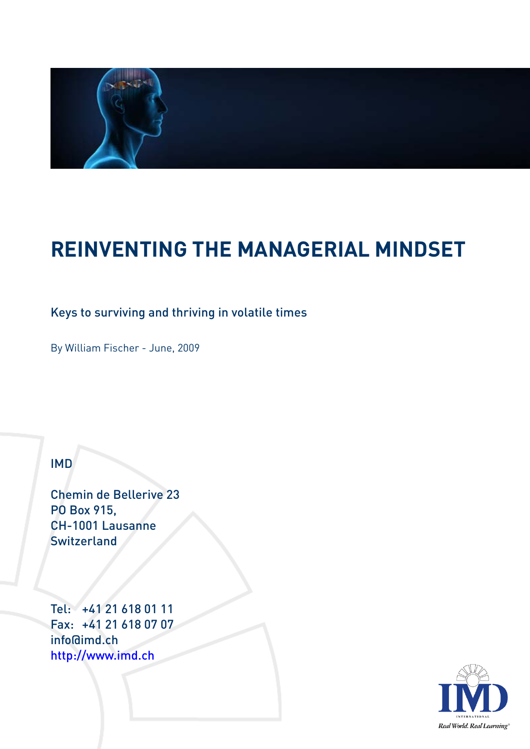

# **REINVENTING THE MANAGERIAL MINDSET**

## Keys to surviving and thriving in volatile times

By William Fischer - June, 2009

#### IMD

Chemin de Bellerive 23 PO Box 915, CH-1001 Lausanne **Switzerland** 

Tel: +41 21 618 01 11 Fax: +41 21 618 07 07 info@imd.ch http://www.imd.ch

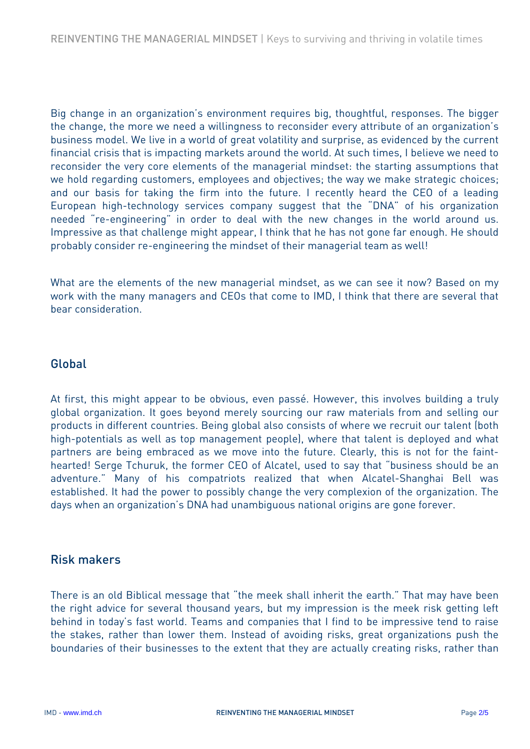Big change in an organization's environment requires big, thoughtful, responses. The bigger the change, the more we need a willingness to reconsider every attribute of an organization's business model. We live in a world of great volatility and surprise, as evidenced by the current financial crisis that is impacting markets around the world. At such times, I believe we need to reconsider the very core elements of the managerial mindset: the starting assumptions that we hold regarding customers, employees and objectives; the way we make strategic choices; and our basis for taking the firm into the future. I recently heard the CEO of a leading European high-technology services company suggest that the "DNA" of his organization needed "re-engineering" in order to deal with the new changes in the world around us. Impressive as that challenge might appear, I think that he has not gone far enough. He should probably consider re-engineering the mindset of their managerial team as well!

What are the elements of the new managerial mindset, as we can see it now? Based on my work with the many managers and CEOs that come to IMD, I think that there are several that bear consideration.

#### Global

At first, this might appear to be obvious, even passé. However, this involves building a truly global organization. It goes beyond merely sourcing our raw materials from and selling our products in different countries. Being global also consists of where we recruit our talent (both high-potentials as well as top management people), where that talent is deployed and what partners are being embraced as we move into the future. Clearly, this is not for the fainthearted! Serge Tchuruk, the former CEO of Alcatel, used to say that "business should be an adventure." Many of his compatriots realized that when Alcatel-Shanghai Bell was established. It had the power to possibly change the very complexion of the organization. The days when an organization's DNA had unambiguous national origins are gone forever.

#### Risk makers

There is an old Biblical message that "the meek shall inherit the earth." That may have been the right advice for several thousand years, but my impression is the meek risk getting left behind in today's fast world. Teams and companies that I find to be impressive tend to raise the stakes, rather than lower them. Instead of avoiding risks, great organizations push the boundaries of their businesses to the extent that they are actually creating risks, rather than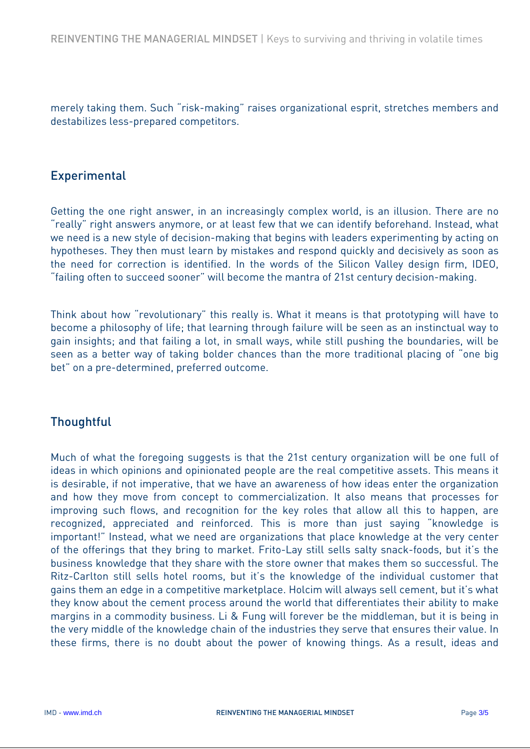merely taking them. Such "risk-making" raises organizational esprit, stretches members and destabilizes less-prepared competitors.

#### **Experimental**

Getting the one right answer, in an increasingly complex world, is an illusion. There are no "really" right answers anymore, or at least few that we can identify beforehand. Instead, what we need is a new style of decision-making that begins with leaders experimenting by acting on hypotheses. They then must learn by mistakes and respond quickly and decisively as soon as the need for correction is identified. In the words of the Silicon Valley design firm, IDEO, "failing often to succeed sooner" will become the mantra of 21st century decision-making.

Think about how "revolutionary" this really is. What it means is that prototyping will have to become a philosophy of life; that learning through failure will be seen as an instinctual way to gain insights; and that failing a lot, in small ways, while still pushing the boundaries, will be seen as a better way of taking bolder chances than the more traditional placing of "one big bet" on a pre-determined, preferred outcome.

## **Thoughtful**

Much of what the foregoing suggests is that the 21st century organization will be one full of ideas in which opinions and opinionated people are the real competitive assets. This means it is desirable, if not imperative, that we have an awareness of how ideas enter the organization and how they move from concept to commercialization. It also means that processes for improving such flows, and recognition for the key roles that allow all this to happen, are recognized, appreciated and reinforced. This is more than just saying "knowledge is important!" Instead, what we need are organizations that place knowledge at the very center of the offerings that they bring to market. Frito-Lay still sells salty snack-foods, but it's the business knowledge that they share with the store owner that makes them so successful. The Ritz-Carlton still sells hotel rooms, but it's the knowledge of the individual customer that gains them an edge in a competitive marketplace. Holcim will always sell cement, but it's what they know about the cement process around the world that differentiates their ability to make margins in a commodity business. Li & Fung will forever be the middleman, but it is being in the very middle of the knowledge chain of the industries they serve that ensures their value. In these firms, there is no doubt about the power of knowing things. As a result, ideas and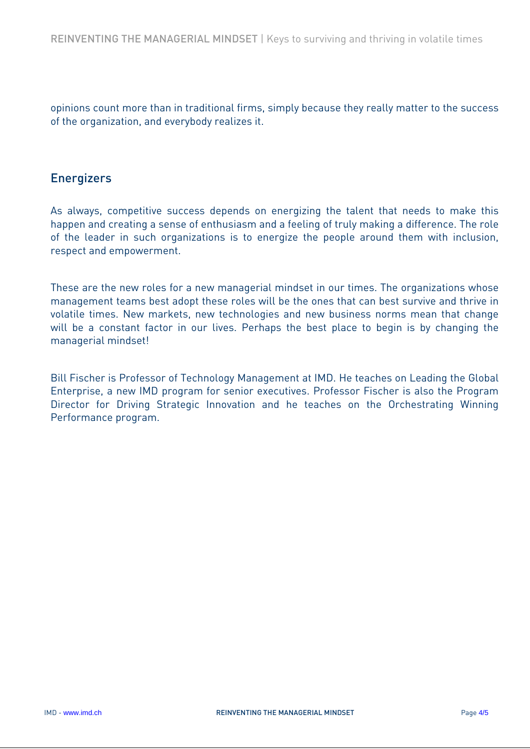opinions count more than in traditional firms, simply because they really matter to the success of the organization, and everybody realizes it.

#### **Energizers**

As always, competitive success depends on energizing the talent that needs to make this happen and creating a sense of enthusiasm and a feeling of truly making a difference. The role of the leader in such organizations is to energize the people around them with inclusion, respect and empowerment.

These are the new roles for a new managerial mindset in our times. The organizations whose management teams best adopt these roles will be the ones that can best survive and thrive in volatile times. New markets, new technologies and new business norms mean that change will be a constant factor in our lives. Perhaps the best place to begin is by changing the managerial mindset!

Bill Fischer is Professor of Technology Management at IMD. He teaches on Leading the Global Enterprise, a new IMD program for senior executives. Professor Fischer is also the Program Director for Driving Strategic Innovation and he teaches on the Orchestrating Winning Performance program.